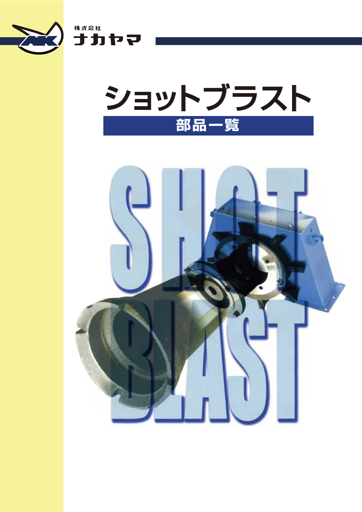

゚゚゚゚゚゚゚゚゚゚゚゚゚゚゚゠゙ゕゕ゚



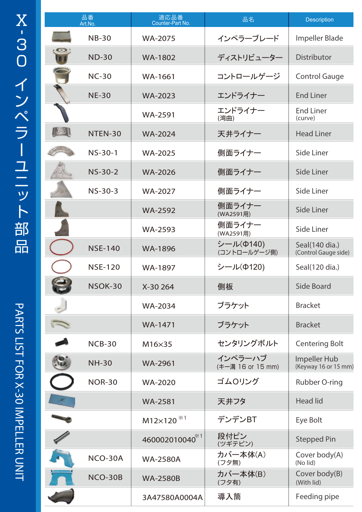|        | 品番<br>Art.No.  | 適応品番<br>Counter-Part No. | 品名                           | <b>Description</b>                     |
|--------|----------------|--------------------------|------------------------------|----------------------------------------|
|        | <b>NB-30</b>   | <b>WA-2075</b>           | インペラーブレード                    | Impeller Blade                         |
|        | <b>ND-30</b>   | <b>WA-1802</b>           | ディストリビューター                   | <b>Distributor</b>                     |
|        | <b>NC-30</b>   | WA-1661                  | コントロールゲージ                    | <b>Control Gauge</b>                   |
|        | <b>NE-30</b>   | <b>WA-2023</b>           | エンドライナー                      | <b>End Liner</b>                       |
|        |                | <b>WA-2591</b>           | エンドライナー<br>(湾曲)              | <b>End Liner</b><br>(curve)            |
| $\sim$ | NTEN-30        | <b>WA-2024</b>           | 天井ライナー                       | <b>Head Liner</b>                      |
|        | <b>NS-30-1</b> | <b>WA-2025</b>           | 側面ライナー                       | Side Liner                             |
|        | $NS-30-2$      | <b>WA-2026</b>           | 側面ライナー                       | <b>Side Liner</b>                      |
|        | $NS-30-3$      | <b>WA-2027</b>           | 側面ライナー                       | Side Liner                             |
|        |                | <b>WA-2592</b>           | 側面ライナー<br>(WA2591用)          | Side Liner                             |
|        |                | <b>WA-2593</b>           | 側面ライナー<br>(WA2591用)          | Side Liner                             |
|        | <b>NSE-140</b> | <b>WA-1896</b>           | シール(Φ140)<br>(コントロールゲージ側)    | Seal(140 dia.)<br>(Control Gauge side) |
|        | <b>NSE-120</b> | WA-1897                  | シール(Φ120)                    | Seal(120 dia.)                         |
|        | NSOK-30        | X-30 264                 | 側板                           | Side Board                             |
|        |                | <b>WA-2034</b>           | ブラケット                        | <b>Bracket</b>                         |
|        |                | WA-1471                  | ブラケット                        | <b>Bracket</b>                         |
|        | $NCB-30$       | M16×35                   | センタリングボルト                    | <b>Centering Bolt</b>                  |
|        | <b>NH-30</b>   | <b>WA-2961</b>           | インペラーハブ<br>(キー溝 16 or 15 mm) | Impeller Hub<br>(Keyway 16 or 15 mm)   |
|        | <b>NOR-30</b>  | <b>WA-2020</b>           | ゴムロリング                       | Rubber O-ring                          |
|        |                | <b>WA-2581</b>           | 天井フタ                         | <b>Head lid</b>                        |
|        |                | M12×120 <sup>*1</sup>    | デンデンBT                       | Eye Bolt                               |
|        |                | 460002010040*1           | 段付ピン<br>(ツギテピン)              | <b>Stepped Pin</b>                     |
|        | NCO-30A        | <b>WA-2580A</b>          | カバー本体(A)<br>(フタ無)            | Cover body(A)<br>(No lid)              |
|        | NCO-30B        | <b>WA-2580B</b>          | カバー本体(B)<br>(フタ有)            | Cover body(B)<br>(With lid)            |
|        |                | 3A47580A0004A            | 導入筒                          | Feeding pipe                           |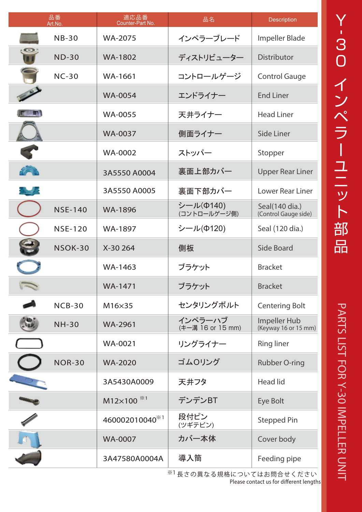| 品番<br>Art.No. |                | 適応品番<br>Counter-Part No. | 品名                           | Description                            |
|---------------|----------------|--------------------------|------------------------------|----------------------------------------|
|               | $NB-30$        | <b>WA-2075</b>           | インペラーブレード                    | Impeller Blade                         |
|               | $ND-30$        | <b>WA-1802</b>           | ディストリビューター                   | <b>Distributor</b>                     |
|               | $NC-30$        | WA-1661                  | コントロールゲージ                    | <b>Control Gauge</b>                   |
|               |                | <b>WA-0054</b>           | エンドライナー                      | <b>End Liner</b>                       |
|               |                | <b>WA-0055</b>           | 天井ライナー                       | <b>Head Liner</b>                      |
|               |                | <b>WA-0037</b>           | 側面ライナー                       | Side Liner                             |
|               |                | <b>WA-0002</b>           | ストッパー                        | Stopper                                |
|               |                | 3A5550 A0004             | 裏面上部カバー                      | <b>Upper Rear Liner</b>                |
|               |                | 3A5550 A0005             | 裏面下部カバー                      | <b>Lower Rear Liner</b>                |
|               | <b>NSE-140</b> | <b>WA-1896</b>           | シール(Φ140)<br>(コントロールゲージ側)    | Seal(140 dia.)<br>(Control Gauge side) |
|               | <b>NSE-120</b> | WA-1897                  | シール(Φ120)                    | Seal (120 dia.)                        |
|               | NSOK-30        | X-30 264                 | 側板                           | <b>Side Board</b>                      |
|               |                | WA-1463                  | ブラケット                        | <b>Bracket</b>                         |
|               |                | <b>WA-1471</b>           | ブラケット                        | <b>Bracket</b>                         |
|               | $NCB-30$       | M16×35                   | センタリングボルト                    | <b>Centering Bolt</b>                  |
|               | <b>NH-30</b>   | <b>WA-2961</b>           | インペラーハブ<br>(キー溝 16 or 15 mm) | Impeller Hub<br>(Keyway 16 or 15 mm)   |
|               |                | <b>WA-0021</b>           | リングライナー                      | <b>Ring liner</b>                      |
|               | <b>NOR-30</b>  | <b>WA-2020</b>           | ゴムOリング                       | Rubber O-ring                          |
|               |                | 3A5430A0009              | 天井フタ                         | <b>Head lid</b>                        |
|               |                | M12×100 <sup>**1</sup>   | デンデンBT                       | Eye Bolt                               |
|               |                | 460002010040*1           | 段付ピン<br>(ツギテピン)              | <b>Stepped Pin</b>                     |
|               |                | <b>WA-0007</b>           | カバー本体                        | Cover body                             |
|               |                | 3A47580A0004A            | 導入筒                          | Feeding pipe                           |

 $^{\rm \%1}$ 長さの異なる規格についてはお問合せください **Please contact us for different lengths**